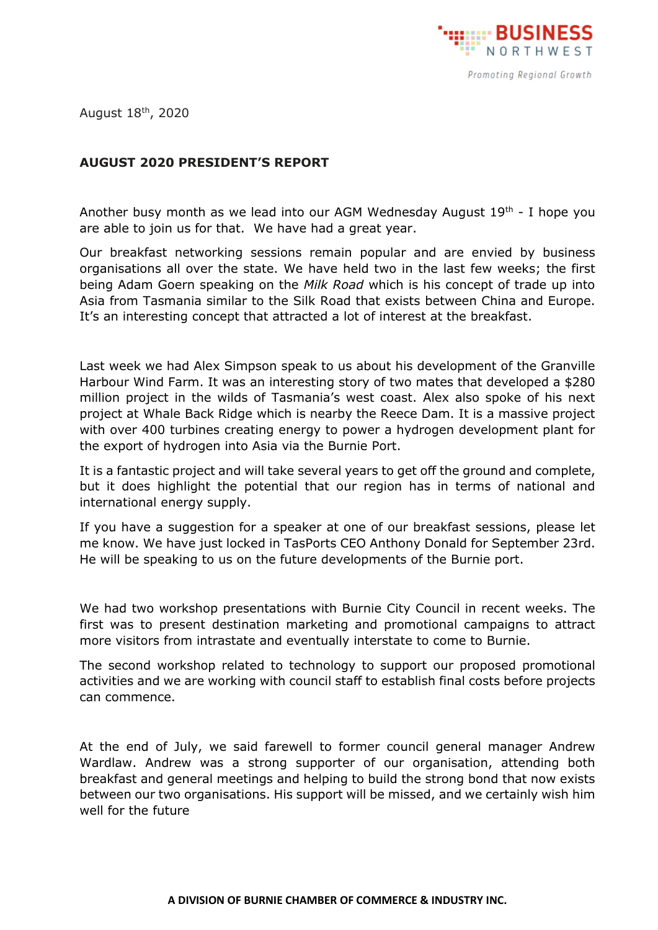

August 18<sup>th</sup>, 2020

## **AUGUST 2020 PRESIDENT'S REPORT**

Another busy month as we lead into our AGM Wednesday August  $19<sup>th</sup>$  - I hope you are able to join us for that. We have had a great year.

Our breakfast networking sessions remain popular and are envied by business organisations all over the state. We have held two in the last few weeks; the first being Adam Goern speaking on the *Milk Road* which is his concept of trade up into Asia from Tasmania similar to the Silk Road that exists between China and Europe. It's an interesting concept that attracted a lot of interest at the breakfast.

Last week we had Alex Simpson speak to us about his development of the Granville Harbour Wind Farm. It was an interesting story of two mates that developed a \$280 million project in the wilds of Tasmania's west coast. Alex also spoke of his next project at Whale Back Ridge which is nearby the Reece Dam. It is a massive project with over 400 turbines creating energy to power a hydrogen development plant for the export of hydrogen into Asia via the Burnie Port.

It is a fantastic project and will take several years to get off the ground and complete, but it does highlight the potential that our region has in terms of national and international energy supply.

If you have a suggestion for a speaker at one of our breakfast sessions, please let me know. We have just locked in TasPorts CEO Anthony Donald for September 23rd. He will be speaking to us on the future developments of the Burnie port.

We had two workshop presentations with Burnie City Council in recent weeks. The first was to present destination marketing and promotional campaigns to attract more visitors from intrastate and eventually interstate to come to Burnie.

The second workshop related to technology to support our proposed promotional activities and we are working with council staff to establish final costs before projects can commence.

At the end of July, we said farewell to former council general manager Andrew Wardlaw. Andrew was a strong supporter of our organisation, attending both breakfast and general meetings and helping to build the strong bond that now exists between our two organisations. His support will be missed, and we certainly wish him well for the future